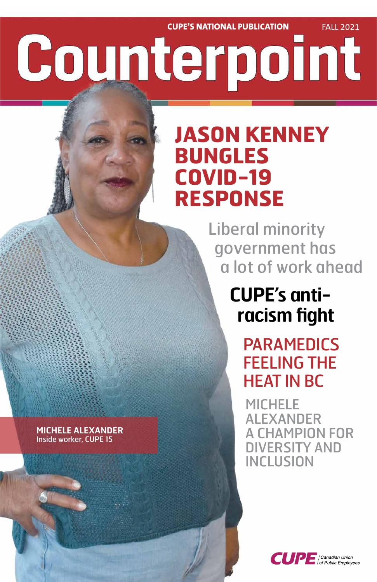**CUPE'S NATIONAL PUBLICATION FALL 2021** Counterpoint

# **JASON KENNEY BUNGLES COVID-19 RESPONSE**

 Liberal minority government has a lot of work ahead

> **CUPE's anti racism fight**

> > PARAMEDICS FEELING THE HEAT IN BC

MICHELE ALEXANDER

### A CHAMPION FOR DIVERSITY AND INCLUSION



#### **MICHELE ALEXANDER** Inside worker, CUPE 15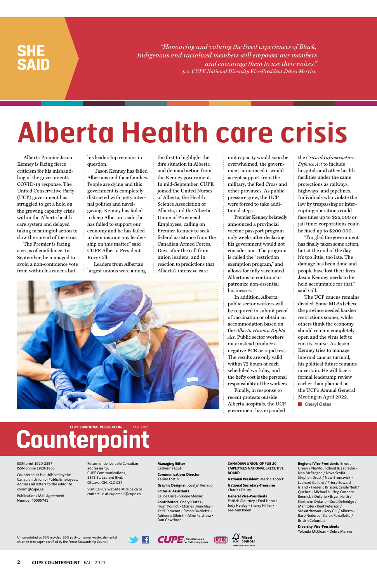Alberta Premier Jason Kenney is facing fierce criticism for his mishandling of the government's COVID-19 response. The United Conservative Party (UCP) government has struggled to get a hold on the growing capacity crisis within the Alberta health care system and delayed taking meaningful action to slow the spread of the virus.

The Premier is facing a crisis of confidence. In September, he managed to avoid a non-confidence vote from within his caucus but

his leadership remains in question.

"Jason Kenney has failed Albertans and their families. People are dying and this government is completely distracted with petty internal politics and navelgazing. Kenney has failed to keep Albertans safe; he has failed to support our economy and he has failed to demonstrate any leadership on this matter," said CUPE Alberta President Rory Gill.

Leaders from Alberta's largest unions were among the first to highlight the dire situation in Alberta and demand action from the Kenney government. In mid-September, CUPE joined the United Nurses of Alberta, the Health Science Association of Alberta, and the Alberta Union of Provincial Employees, calling on Premier Kenney to seek federal assistance from the Canadian Armed Forces. Days after the call from union leaders, and in reaction to predictions that Alberta's intensive care



The UCP caucus remains divided. Some MLAs believe the province needed harsher restrictions sooner, while others think the economy should remain completely open and the virus left to run its course. As Jason Kenney tries to manage internal caucus turmoil, his political future remains uncertain. He will face a formal leadership review earlier than planned, at the UCP's Annual General Meeting in April 2022. ■ **Cheryl Oates** 

unit capacity would soon be overwhelmed, the government announced it would accept support from the military, the Red Cross and other provinces. As public pressure grew, the UCP were forced to take additional steps.

Premier Kenney belatedly announced a provincial vaccine passport program only weeks after declaring his government would not consider one. The program is called the "restriction exemption program," and allows for fully vaccinated Albertans to continue to patronize non-essential businesses.

In addition, Alberta public sector workers will be required to submit proof of vaccination or obtain an accommodation based on the *Alberta Human Rights Act*. Public sector workers may instead produce a negative PCR or rapid test. The results are only valid within 72 hours of each scheduled workday, and the hefty cost is the personal responsibility of the workers.

Finally, in response to recent protests outside Alberta hospitals, the UCP government has expanded

the *Critical Infrastructure Defence Act* to include hospitals and other health facilities under the same protections as railways, highways, and pipelines. Individuals who violate the law by trespassing or interrupting operations could face fines up to \$25,000 or jail time; corporations could be fined up to \$200,000.

"I'm glad the government has finally taken some action, but at the end of the day it's too little, too late. The damage has been done and people have lost their lives. Jason Kenney needs to be held accountable for that," said Gill.

*"Honouring and valuing the lived experiences of Black, Indigenous and racialized members will empower our members and encourage them to use their voices." p.5 CUPE National Diversity Vice-President Debra Merrier.*

### **SHE SAID**

Union-printed on 50% recycled, 30% post-consumer waste, elemental chlorine-free paper, certified by the Forest Stewardship Council.





**2 CUPE COUNTERPOINT** FALL 2021

ISSN print 1920-2857 ISSN online 1920-2865

Counterpoint is published by the Canadian Union of Public Employees. Address all letters to the editor to: comm@cupe.ca

Publications Mail Agreement Number 40005741

Return undeliverable Canadian addresses to: CUPE Communications, 1375 St. Laurent Blvd. Ottawa, ON, K1G 0Z7

Visit CUPE's website at cupe.ca or contact us at cupemail@cupe.ca

**Managing Editor** Catherine Louli

**Communications Director** Karine Fortin

**Graphic Designer** Jocelyn Renaud

**Editorial Assistants** Céline Carré • Valérie Ménard

**Contributors** Cheryl Oates • Hugh Pouliot • Charles Brenchley • Kelti Cameron • Simon Ouellette • Adrienne Silnicki • Aline Patcheva • Dan Gawthrop

**CANADIAN UNION OF PUBLIC EMPLOYEES NATIONAL EXECUTIVE BOARD**

**National President** Mark Hancock

**National Secretary-Treasurer** Charles Fleury

**General Vice-Presidents** Patrick Gloutney • Fred Hahn • Judy Henley • Sherry Hillier • Lee-Ann Kalen

#### **Regional Vice-Presidents** Ernest Green / Newfoundland & Labrador • Nan McFadgen / Nova Scotia • Stephen Drost / New Brunswick • Leonard Gallant / Prince Edward Island • Frédéric Brisson, Carole Neill / Quebec • Michael Hurley, Candace Rennick / Ontario • Bryan Keith / Northern Ontario • Gord Delbridge / Manitoba • Kent Peterson / Saskatchewan • Rory Gill / Alberta • Barb Nederpel, Karen Ranalletta / British Columbia

**Diversity Vice-Presidents** Yolanda McClean • Debra Merrier

# **Alberta Health care crisis**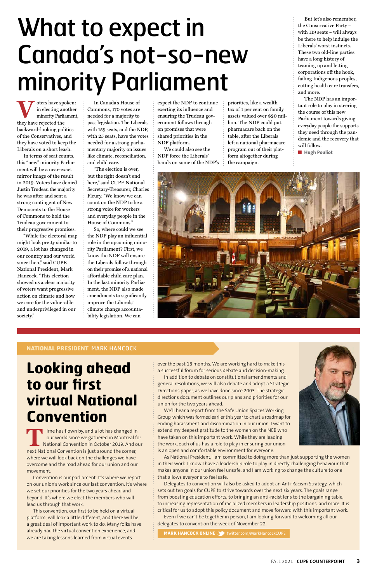#### **NATIONAL PRESIDENT** MARK HANCOCK

**Looking ahead to our first virtual National Convention** 

ime has flown by, and a lot has changed in our world since we gathered in Montreal for National Convention in October 2019. And our next National Convention is just around the corner, where we will look back on the challenges we have overcome and the road ahead for our union and our movement.

Convention is our parliament. It's where we report on our union's work since our last convention. It's where we set our priorities for the two years ahead and beyond. It's where we elect the members who will lead us through that work.

This convention, our first to be held on a virtual platform, will look a little different, and there will be a great deal of important work to do. Many folks have already had the virtual convention experience, and we are taking lessons learned from virtual events

over the past 18 months. We are working hard to make this a successful forum for serious debate and decision-making.

In addition to debate on constitutional amendments and general resolutions, we will also debate and adopt a Strategic Directions paper, as we have done since 2003. The strategic directions document outlines our plans and priorities for our union for the two years ahead.

We'll hear a report from the Safe Union Spaces Working Group, which was formed earlier this year to chart a roadmap for ending harassment and discrimination in our union. I want to



**V** oters have spoken:<br>
in electing another<br>
minority Parliament<br>
they have rejected the in electing another minority Parliament, they have rejected the backward-looking politics of the Conservatives, and they have voted to keep the Liberals on a short leash.

> extend my deepest gratitude to the women on the NEB who have taken on this important work. While they are leading the work, each of us has a role to play in ensuring our union is an open and comfortable environment for everyone.

As National President, I am committed to doing more than just supporting the women in their work. I know I have a leadership role to play in directly challenging behaviour that makes anyone in our union feel unsafe, and I am working to change the culture to one that allows everyone to feel safe.

Delegates to convention will also be asked to adopt an Anti-Racism Strategy, which sets out ten goals for CUPE to strive towards over the next six years. The goals range from boosting education efforts, to bringing an anti-racist lens to the bargaining table, to increasing representation of racialized members in leadership positions, and more. It is critical for us to adopt this policy document and move forward with this important work. Even if we can't be together in person, I am looking forward to welcoming all our delegates to convention the week of November 22.

**MARK HANCOCK ONLINE 3** twitter.com/MarkHancockCUPE

In terms of seat counts, this "new" minority Parliament will be a near-exact mirror image of the result in 2019. Voters have denied Justin Trudeau the majority he was after and sent a strong contingent of New Democrats to the House of Commons to hold the Trudeau government to their progressive promises.

"While the electoral map might look pretty similar to 2019, a lot has changed in our country and our world since then," said CUPE National President, Mark Hancock. "This election showed us a clear majority of voters want progressive action on climate and how we care for the vulnerable and underprivileged in our society."

In Canada's House of Commons, 170 votes are needed for a majority to pass legislation. The Liberals, with 159 seats, and the NDP, with 25 seats, have the votes needed for a strong parliamentary majority on issues like climate, reconciliation, and child care.

"The election is over, but the fight doesn't end here," said CUPE National Secretary-Treasurer, Charles Fleury. "We know we can count on the NDP to be a strong voice for workers and everyday people in the House of Commons."

So, where could we see the NDP play an influential role in the upcoming minority Parliament? First, we know the NDP will ensure the Liberals follow through on their promise of a national affordable child care plan. In the last minority Parliament, the NDP also made amendments to significantly improve the Liberals' climate change accountability legislation. We can

expect the NDP to continue exerting its influence and ensuring the Trudeau government follows through on promises that were shared priorities in the NDP platform.

We could also see the NDP force the Liberals' hands on some of the NDP's priorities, like a wealth tax of 1 per cent on family assets valued over \$20 million. The NDP could put pharmacare back on the table, after the Liberals left a national pharmacare program out of their platform altogether during the campaign.

But let's also remember, the Conservative Party – with 119 seats – will always be there to help indulge the Liberals' worst instincts. These two old-line parties have a long history of teaming up and letting corporations off the hook, failing Indigenous peoples, cutting health care transfers, and more.

The NDP has an important role to play in steering the course of this new Parliament towards giving everyday people the supports they need through the pandemic and the recovery that will follow.

■ **Hugh Pouliot** 



# What to expect in Canada's not-so-new minority Parliament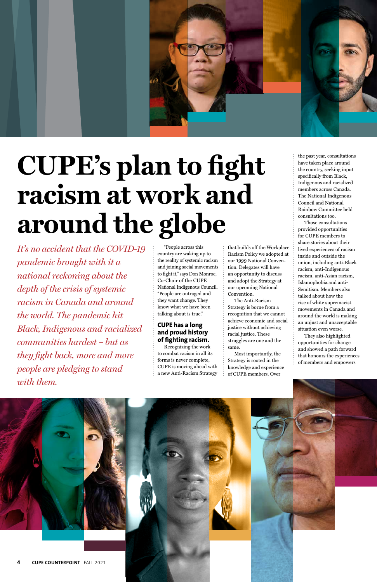*It's no accident that the COVID-19 pandemic brought with it a national reckoning about the depth of the crisis of systemic racism in Canada and around the world. The pandemic hit Black, Indigenous and racialized communities hardest – but as they fight back, more and more people are pledging to stand with them.* 



# **CUPE's plan to fight racism at work and around the globe**

"People across this country are waking up to the reality of systemic racism and joining social movements to fight it," says Don Monroe, Co-Chair of the CUPE National Indigenous Council. "People are outraged and they want change. They know what we have been talking about is true."

#### **CUPE has a long and proud history of fighting racism.**

Recognizing the work to combat racism in all its forms is never complete, CUPE is moving ahead with a new Anti-Racism Strategy

that builds off the Workplace Racism Policy we adopted at our 1999 National Convention. Delegates will have an opportunity to discuss and adopt the Strategy at our upcoming National Convention.

The Anti-Racism Strategy is borne from a recognition that we cannot achieve economic and social justice without achieving racial justice. These struggles are one and the same.

Most importantly, the Strategy is rooted in the knowledge and experience of CUPE members. Over

the past year, consultations have taken place around the country, seeking input specifically from Black, Indigenous and racialized members across Canada. The National Indigenous Council and National Rainbow Committee held consultations too.

Those consultations provided opportunities for CUPE members to share stories about their lived experiences of racism inside and outside the union, including anti-Black racism, anti-Indigenous racism, anti-Asian racism, Islamophobia and anti-Semitism. Members also talked about how the rise of white supremacist movements in Canada and around the world is making an unjust and unacceptable situation even worse.

They also highlighted opportunities for change and showed a path forward that honours the experiences of members and empowers

**4 CUPE COUNTERPOINT** FALL 2021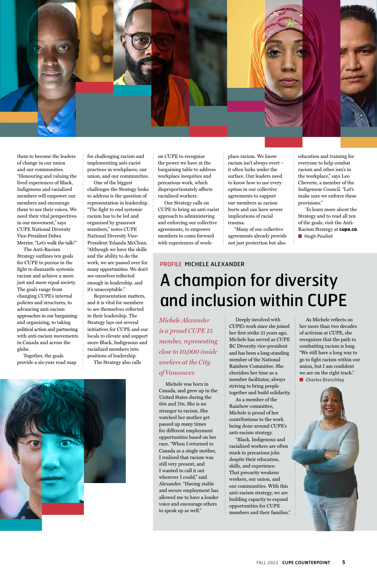

them to become the leaders of change in our union and our communities. "Honouring and valuing the lived experiences of Black, Indigenous and racialized members will empower our members and encourage them to use their voices. We need their vital perspectives in our movement," says CUPE National Diversity Vice-President Debra Merrier. "Let's walk the talk!"

The Anti-Racism Strategy outlines ten goals for CUPE to pursue in the fight to dismantle systemic racism and achieve a more just and more equal society. The goals range from changing CUPE's internal policies and structures, to advancing anti-racism approaches in our bargaining and organizing, to taking political action and partnering with anti-racism movements in Canada and across the globe.

Together, the goals provide a six-year road map for challenging racism and implementing anti-racist practices in workplaces, our union, and our communities.

One of the biggest challenges the Strategy looks to address is the question of representation in leadership. "The fight to end systemic racism has to be led and organized by grassroot members," notes CUPE National Diversity Vice-President Yolanda McClean. "Although we have the skills and the ability to do the work, we are passed over for many opportunities. We don't see ourselves reflected enough in leadership, and it's unacceptable."

 To learn more about the Strategy and to read all ten of the goals, visit the Anti-Racism Strategy at **cupe.ca**. ■ **Hugh Pouliot** 

Representation matters, and it is vital for members to see themselves reflected in their leadership. The Strategy lays out several initiatives for CUPE and our locals to elevate and support more Black, Indigenous and racialized members into positions of leadership.

The Strategy also calls

on CUPE to recognize the power we have at the bargaining table to address workplace inequities and precarious work, which disproportionately affects racialized workers.

Our Strategy calls on CUPE to bring an anti-racist approach to administering and enforcing our collective agreements, to empower members to come forward with experiences of work-

> As Michele reflects on her more than two decades of activism at CUPE, she recognizes that the path to combatting racism is long. "We still have a long way to go to fight racism within our union, but I am confident we are on the right track." ■ **Charles Brenchley**





place racism. We know racism isn't always overt – it often lurks under the surface. Our leaders need to know how to use every option in our collective agreements to support our members as racism hurts and can have severe implications of racial trauma.

"Many of our collective agreements already provide not just protection but also

education and training for everyone to help combat racism and other ism's in the workplace," says Leo Cheverie, a member of the Indigenous Council. "Let's make sure we enforce these provisions."

*Michele Alexander is a proud CUPE 15 member, representing close to 10,000 inside workers at the City of Vancouver.* 

Michele was born in Canada, and grew up in the United States during the 60s and 70s. She is no stranger to racism. She watched her mother get passed up many times for different employment opportunities based on her race. "When I returned to Canada as a single mother, I realized that racism was still very present, and I wanted to call it out wherever I could," said Alexander. "Having stable and secure employment has allowed me to have a louder voice and encourage others to speak up as well."

Deeply involved with CUPE's work since she joined her first strike 21 years ago, Michele has served as CUPE BC Diversity vice-president and has been a long-standing member of the National Rainbow Committee. She cherishes her time as a member facilitator, always striving to bring people together and build solidarity.

As a member of the Rainbow committee, Michele is proud of her contributions to the work being done around CUPE's anti-racism strategy. "Black, Indigenous and racialized workers are often stuck in precarious jobs despite their education, skills, and experience. That precarity weakens workers, our union, and our communities. With this anti-racism strategy, we are building capacity to expand opportunities for CUPE members and their families."

#### PROFILE MICHELE ALEXANDER

## A champion for diversity and inclusion within CUPE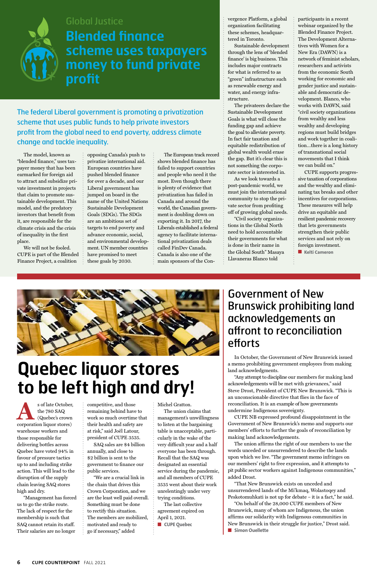The model, known as "blended finance," uses taxpayer money that has been earmarked for foreign aid to attract and subsidize private investment in projects that claim to promote sustainable development. This model, and the predatory investors that benefit from it, are responsible for the climate crisis and the crisis of inequality in the first place.

We will not be fooled. CUPE is part of the Blended Finance Project, a coalition

opposing Canada's push to privatize international aid. European countries have pushed blended finance for over a decade, and our Liberal government has jumped on board in the name of the United Nations Sustainable Development Goals (SDGs). The SDGs are an ambitious set of targets to end poverty and advance economic, social, and environmental development. UN member countries have promised to meet these goals by 2030.

The European track record shows blended finance has failed to support countries and people who need it the most. Even though there is plenty of evidence that privatization has failed in Canada and around the world, the Canadian government is doubling down on exporting it. In 2017, the Liberals established a federal agency to facilitate international privatization deals called FinDev Canada. Canada is also one of the main sponsors of the Convergence Platform, a global organization facilitating these schemes, headquartered in Toronto.

Sustainable development through the lens of 'blended finance' is big business. This includes major contracts for what is referred to as "green" infrastructure such as renewable energy and water, and energy infrastructure.

The privateers declare the Sustainable Development Goals is what will close the funding gap and achieve the goal to alleviate poverty. In fact fair taxation and equitable redistribution of global wealth would erase the gap. But it's clear this is not something the corporate sector is interested in.

As we look towards a post-pandemic world, we must join the international community to stop the private sector from profiting off of growing global needs.

"Civil society organizations in the Global North need to hold accountable their governments for what is done in their name in the Global South" Masaya Llavaneras Blanco told

s of late October,<br>the 780 SAQ<br>(Quebec's crown<br>corporation liquor stores) the 780 SAQ (Quebec's crown

participants in a recent webinar organized by the Blended Finance Project. The Development Alternatives with Women for a New Era (DAWN) is a network of feminist scholars, researchers and activists from the economic South working for economic and gender justice and sustainable and democratic development. Blanco, who works with DAWN, said "civil society organizations from wealthy and less wealthy and developing regions must build bridges and work together in coalition…there is a long history of transnational social movements that I think we can build on."

CUPE supports progressive taxation of corporations and the wealthy and eliminating tax breaks and other incentives for corporations. These measures will help drive an equitable and resilient pandemic recovery that lets governments strengthen their public services and not rely on foreign investment.

■ **Kelti Cameron** 



The federal Liberal government is promoting a privatization scheme that uses public funds to help private investors profit from the global need to end poverty, address climate change and tackle inequality.



### Global Justice **Blended finance scheme uses taxpayers money to fund private profit**

### Government of New Brunswick prohibiting land acknowledgements an affront to reconciliation efforts

In October, the Government of New Brunswick issued a memo prohibiting government employees from making land acknowledgments.

"Any attempt to discipline our members for making land acknowledgements will be met with grievances," said Steve Drost, President of CUPE New Brunswick. "This is an unconscionable directive that flies in the face of reconciliation. It is an example of how governments undermine Indigenous sovereignty.

CUPE NB expressed profound disappointment in the Government of New Brunswick's memo and supports our members' efforts to further the goals of reconciliation by making land acknowledgements.

The union affirms the right of our members to use the words unceded or unsurrendered to describe the lands upon which we live. "The government memo infringes on our members' right to free expression, and it attempts to pit public sector workers against Indigenous communities," added Drost.

"That New Brunswick exists on unceded and unsurrendered lands of the Mi'kmaq, Wolastoqey and Peskotomuhkati is not up for debate – it is a fact," he said.

"On behalf of the 28,000 CUPE members of New Brunswick, many of whom are Indigenous, the union affirms our solidarity with Indigenous communities in New Brunswick in their struggle for justice," Drost said.

■ **Simon Ouellette**

#### **6 CUPE COUNTERPOINT** FALL 2021

warehouse workers and those responsible for delivering bottles across Quebec have voted 94% in favour of pressure tactics up to and including strike action. This will lead to the disruption of the supply chain leaving SAQ stores high and dry.

"Management has forced us to go the strike route. The lack of respect for the membership is such that SAQ cannot retain its staff. Their salaries are no longer

competitive, and those remaining behind have to work so much overtime that their health and safety are

at risk," said Joël Latour, president of CUPE 3535. SAQ sales are \$4 billion annually, and close to \$2 billion is sent to the government to finance our public services.

"We are a crucial link in the chain that drives this Crown Corporation, and we are the least well paid overall. Something must be done to rectify this situation. The members are mobilized, motivated and ready to go if necessary," added

Michel Gratton. The union claims that management's unwillingness to listen at the bargaining

table is unacceptable, particularly in the wake of the very difficult year and a half everyone has been through. Recall that the SAQ was designated an essential service during the pandemic, and all members of CUPE 3535 went about their work unrelentingly under very trying conditions. The last collective

agreement expired on April 1, 2021.

■ **CUPE Quebec**

# **Quebec liquor stores to be left high and dry!**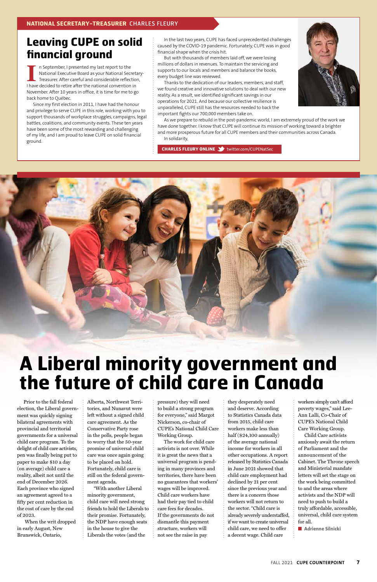In the last two years, CUPE has faced unprecedented challenges caused by the COVID-19 pandemic. Fortunately, CUPE was in good financial shape when the crisis hit.

But with thousands of members laid off, we were losing millions of dollars in revenues. To maintain the servicing and supports to our locals and members and balance the books, every budget line was reviewed.

Thanks to the dedication of our leaders, members, and staff, we found creative and innovative solutions to deal with our new reality. As a result, we identified significant savings in our operations for 2021. And because our collective resilience is unparalleled, CUPE still has the resources needed to back the important fights our 700,000 members take on.



I In September, I presented my last report to the<br>
National Executive Board as your National Secretary<br>
I have decided to retire after the national convention in n September, I presented my last report to the National Executive Board as your National Secretary-Treasurer. After careful and considerable reflection, November. After 10 years in office, it is time for me to go back home to Québec.

> As we prepare to rebuild in the post-pandemic world, I am extremely proud of the work we have done together. I know that CUPE will continue its mission of working toward a brighter and more prosperous future for all CUPE members and their communities across Canada. In solidarity,

**CHARLES FLEURY ONLINE** twitter.com/CUPENatSec



### **Leaving CUPE on solid financial ground**

Since my first election in 2011, I have had the honour and privilege to serve CUPE in this role, working with you to support thousands of workplace struggles, campaigns, legal battles, coalitions, and community events. These ten years have been some of the most rewarding and challenging of my life, and I am proud to leave CUPE on solid financial ground.

> workers simply can't afford poverty wages," said Lee-Ann Lalli, Co-Chair of CUPE's National Child Care Working Group. Child Care activists anxiously await the return of Parliament and the announcement of the Cabinet. The Throne speech and Ministerial mandate letters will set the stage on the work being committed to and the areas where activists and the NDP will need to push to build a truly affordable, accessible, universal, child care system for all. ■ **Adrienne Silnicki**

Prior to the fall federal election, the Liberal government was quickly signing bilateral agreements with provincial and territorial governments for a universal child care program. To the delight of child care activists, pen was finally being put to paper to make \$10 a day (on average) child care a reality, albeit not until the end of December 2026. Each province who signed an agreement agreed to a fifty per cent reduction in the cost of care by the end of 2023.

 When the writ dropped in early August, New Brunswick, Ontario,

Alberta, Northwest Territories, and Nunavut were left without a signed child care agreement. As the Conservative Party rose in the polls, people began to worry that the 50-year promise of universal child care was once again going to be placed on hold. Fortunately, child care is still on the federal government agenda. "With another Liberal minority government, child care will need strong friends to hold the Liberals to their promise. Fortunately, the NDP have enough seats in the house to give the Liberals the votes (and the

pressure) they will need to build a strong program for everyone," said Margot Nickerson, co-chair of

CUPE's National Child Care Working Group.

The work for child care activists is not over. While it is great the news that a universal program is pending in many provinces and territories, there have been no guarantees that workers' wages will be improved. Child care workers have had their pay tied to child care fees for decades. If the governments do not dismantle this payment structure, workers will not see the raise in pay

they desperately need and deserve. According to Statistics Canada data from 2015, child care workers make less than half (\$24,100 annually) of the average national income for workers in all other occupations. A report released by Statistics Canada in June 2021 showed that child care employment had declined by 21 per cent since the previous year and there is a concern those workers will not return to the sector. "Child care is already severely understaffed, if we want to create universal child care, we need to offer a decent wage. Child care

# **A Liberal minority government and the future of child care in Canada**